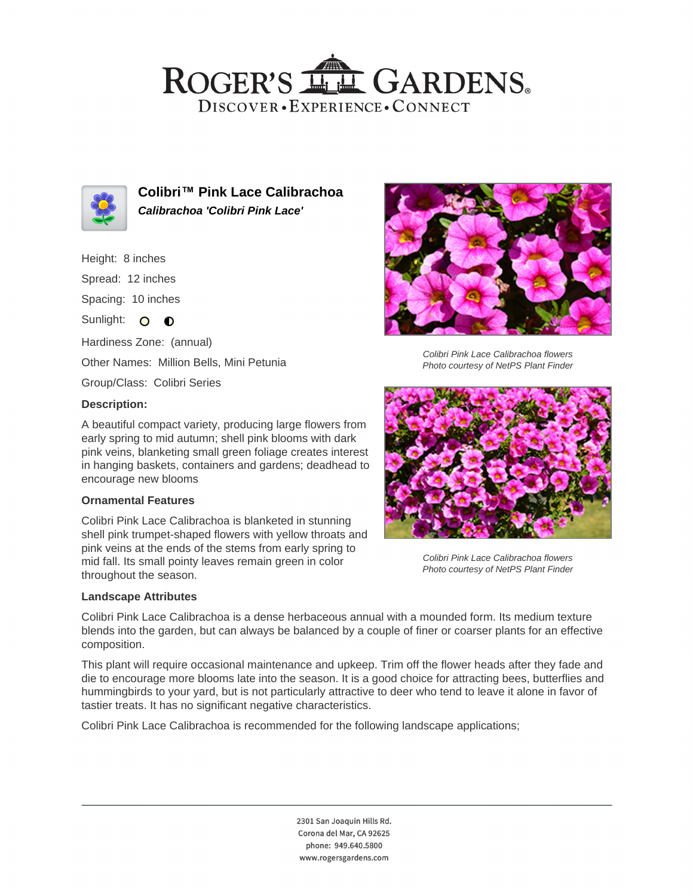## ROGER'S LL GARDENS. DISCOVER · EXPERIENCE · CONNECT



**Colibri™ Pink Lace Calibrachoa Calibrachoa 'Colibri Pink Lace'**

#### Height: 8 inches

Spread: 12 inches

Spacing: 10 inches

Sunlight: O O

Hardiness Zone: (annual)

Other Names: Million Bells, Mini Petunia

Group/Class: Colibri Series

### **Description:**

A beautiful compact variety, producing large flowers from early spring to mid autumn; shell pink blooms with dark pink veins, blanketing small green foliage creates interest in hanging baskets, containers and gardens; deadhead to encourage new blooms

### **Ornamental Features**

Colibri Pink Lace Calibrachoa is blanketed in stunning shell pink trumpet-shaped flowers with yellow throats and pink veins at the ends of the stems from early spring to mid fall. Its small pointy leaves remain green in color throughout the season.

### **Landscape Attributes**



Colibri Pink Lace Calibrachoa flowers Photo courtesy of NetPS Plant Finder



Colibri Pink Lace Calibrachoa flowers Photo courtesy of NetPS Plant Finder

Colibri Pink Lace Calibrachoa is a dense herbaceous annual with a mounded form. Its medium texture blends into the garden, but can always be balanced by a couple of finer or coarser plants for an effective composition.

This plant will require occasional maintenance and upkeep. Trim off the flower heads after they fade and die to encourage more blooms late into the season. It is a good choice for attracting bees, butterflies and hummingbirds to your yard, but is not particularly attractive to deer who tend to leave it alone in favor of tastier treats. It has no significant negative characteristics.

Colibri Pink Lace Calibrachoa is recommended for the following landscape applications;

2301 San Joaquin Hills Rd. Corona del Mar, CA 92625 phone: 949.640.5800 www.rogersgardens.com